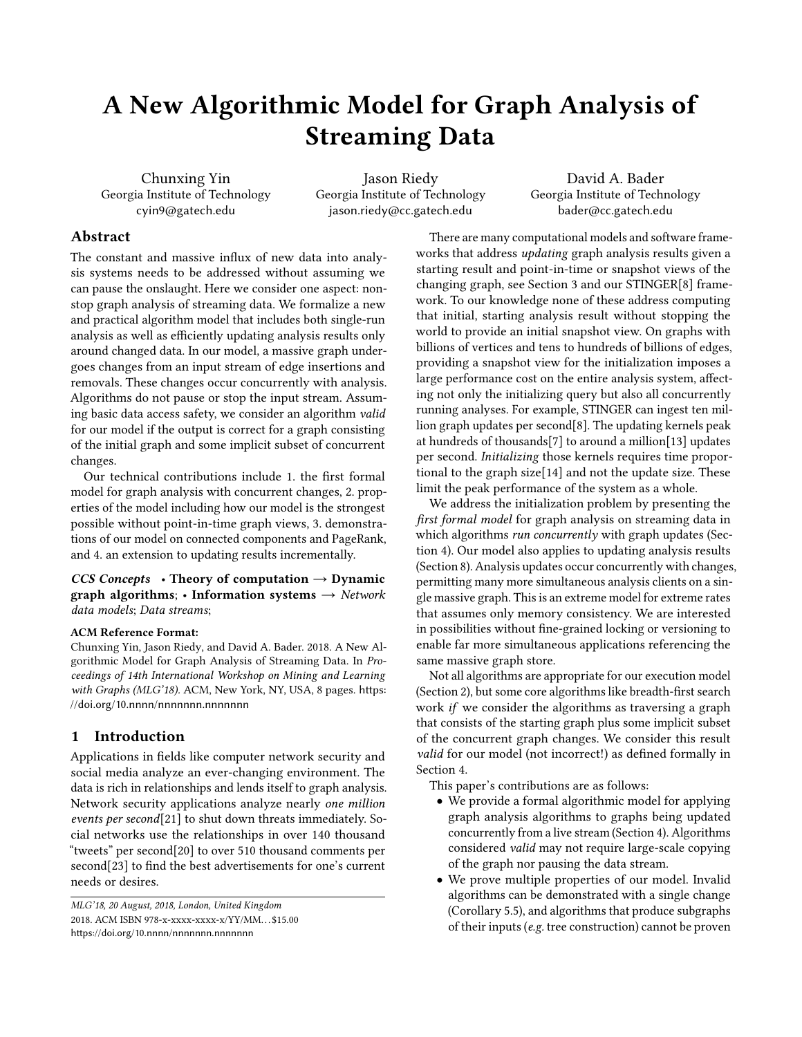# A New Algorithmic Model for Graph Analysis of Streaming Data

Chunxing Yin Georgia Institute of Technology cyin9@gatech.edu

Jason Riedy Georgia Institute of Technology jason.riedy@cc.gatech.edu

David A. Bader Georgia Institute of Technology bader@cc.gatech.edu

# Abstract

The constant and massive influx of new data into analysis systems needs to be addressed without assuming we can pause the onslaught. Here we consider one aspect: nonstop graph analysis of streaming data. We formalize a new and practical algorithm model that includes both single-run analysis as well as efficiently updating analysis results only around changed data. In our model, a massive graph undergoes changes from an input stream of edge insertions and removals. These changes occur concurrently with analysis. Algorithms do not pause or stop the input stream. Assuming basic data access safety, we consider an algorithm valid for our model if the output is correct for a graph consisting of the initial graph and some implicit subset of concurrent changes.

Our technical contributions include 1. the first formal model for graph analysis with concurrent changes, 2. properties of the model including how our model is the strongest possible without point-in-time graph views, 3. demonstrations of our model on connected components and PageRank, and 4. an extension to updating results incrementally.

#### CCS Concepts • Theory of computation  $\rightarrow$  Dynamic graph algorithms; • Information systems  $\rightarrow$  Network data models; Data streams;

#### ACM Reference Format:

Chunxing Yin, Jason Riedy, and David A. Bader. 2018. A New Algorithmic Model for Graph Analysis of Streaming Data. In Proceedings of 14th International Workshop on Mining and Learning with Graphs (MLG'18). ACM, New York, NY, USA, [8](#page-7-0) pages. [https:](https://doi.org/10.nnnn/nnnnnnn.nnnnnnn) [//doi.org/10.nnnn/nnnnnnn.nnnnnnn](https://doi.org/10.nnnn/nnnnnnn.nnnnnnn)

# 1 Introduction

Applications in fields like computer network security and social media analyze an ever-changing environment. The data is rich in relationships and lends itself to graph analysis. Network security applications analyze nearly one million events per second[\[21\]](#page-7-1) to shut down threats immediately. Social networks use the relationships in over 140 thousand "tweets" per second[\[20\]](#page-7-2) to over 510 thousand comments per second[\[23\]](#page-7-3) to find the best advertisements for one's current needs or desires.

MLG'18, 20 August, 2018, London, United Kingdom 2018. ACM ISBN 978-x-xxxx-xxxx-x/YY/MM. . . \$15.00 <https://doi.org/10.nnnn/nnnnnnn.nnnnnnn>

There are many computational models and software frameworks that address updating graph analysis results given a starting result and point-in-time or snapshot views of the changing graph, see Section [3](#page-1-0) and our STINGER[\[8\]](#page-7-4) framework. To our knowledge none of these address computing that initial, starting analysis result without stopping the world to provide an initial snapshot view. On graphs with billions of vertices and tens to hundreds of billions of edges, providing a snapshot view for the initialization imposes a large performance cost on the entire analysis system, affecting not only the initializing query but also all concurrently running analyses. For example, STINGER can ingest ten million graph updates per second[\[8\]](#page-7-4). The updating kernels peak at hundreds of thousands[\[7\]](#page-7-5) to around a million[\[13\]](#page-7-6) updates per second. Initializing those kernels requires time proportional to the graph size[\[14\]](#page-7-7) and not the update size. These limit the peak performance of the system as a whole.

We address the initialization problem by presenting the first formal model for graph analysis on streaming data in which algorithms run concurrently with graph updates (Section [4\)](#page-2-0). Our model also applies to updating analysis results (Section [8\)](#page-5-0). Analysis updates occur concurrently with changes, permitting many more simultaneous analysis clients on a single massive graph. This is an extreme model for extreme rates that assumes only memory consistency. We are interested in possibilities without fine-grained locking or versioning to enable far more simultaneous applications referencing the same massive graph store.

Not all algorithms are appropriate for our execution model (Section [2\)](#page-1-1), but some core algorithms like breadth-first search work if we consider the algorithms as traversing a graph that consists of the starting graph plus some implicit subset of the concurrent graph changes. We consider this result valid for our model (not incorrect!) as defined formally in Section [4.](#page-2-0)

This paper's contributions are as follows:

- We provide a formal algorithmic model for applying graph analysis algorithms to graphs being updated concurrently from a live stream (Section [4\)](#page-2-0). Algorithms considered valid may not require large-scale copying of the graph nor pausing the data stream.
- We prove multiple properties of our model. Invalid algorithms can be demonstrated with a single change (Corollary [5.5\)](#page-3-0), and algorithms that produce subgraphs of their inputs (e.g. tree construction) cannot be proven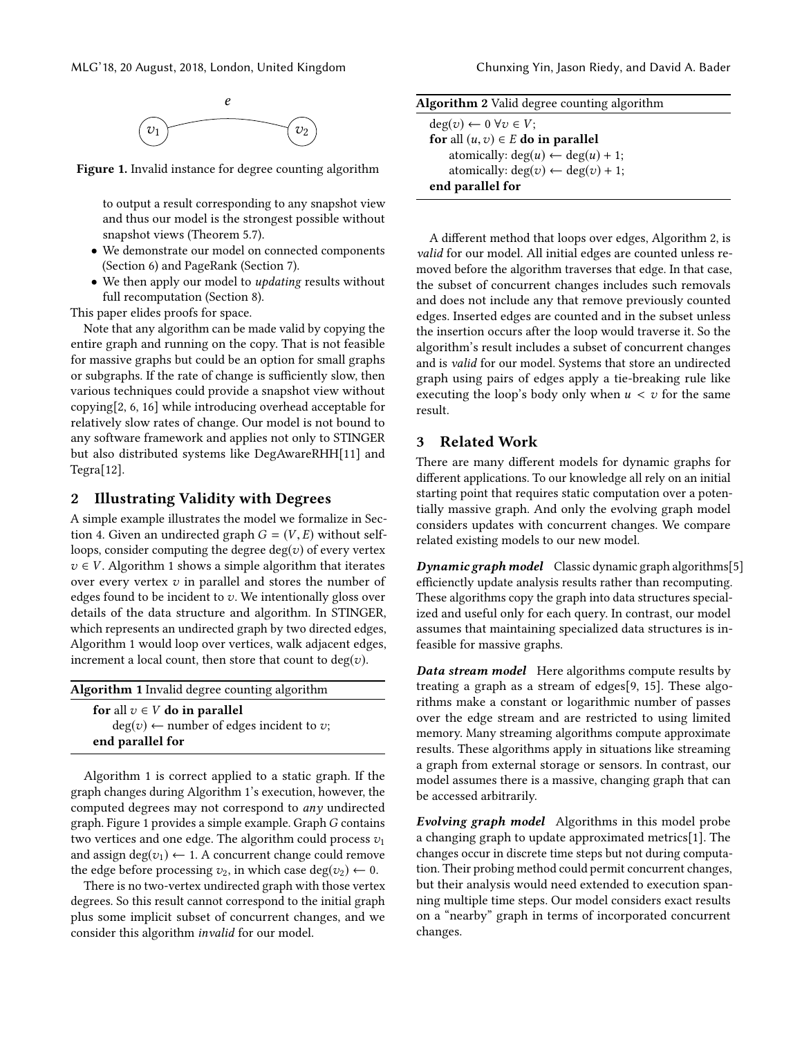<span id="page-1-3"></span>

Figure 1. Invalid instance for degree counting algorithm

to output a result corresponding to any snapshot view and thus our model is the strongest possible without snapshot views (Theorem [5.7\)](#page-3-1).

- We demonstrate our model on connected components (Section [6\)](#page-4-0) and PageRank (Section [7\)](#page-4-1).
- We then apply our model to *updating* results without full recomputation (Section [8\)](#page-5-0).

This paper elides proofs for space.

Note that any algorithm can be made valid by copying the entire graph and running on the copy. That is not feasible for massive graphs but could be an option for small graphs or subgraphs. If the rate of change is sufficiently slow, then various techniques could provide a snapshot view without copying[\[2,](#page-7-8) [6,](#page-7-9) [16\]](#page-7-10) while introducing overhead acceptable for relatively slow rates of change. Our model is not bound to any software framework and applies not only to STINGER but also distributed systems like DegAwareRHH[\[11\]](#page-7-11) and Tegra[\[12\]](#page-7-12).

# <span id="page-1-1"></span>2 Illustrating Validity with Degrees

A simple example illustrates the model we formalize in Sec-tion [4.](#page-2-0) Given an undirected graph  $G = (V, E)$  without selfloops, consider computing the degree  $deg(v)$  of every vertex  $v \in V$ . Algorithm [1](#page-1-2) shows a simple algorithm that iterates over every vertex  $v$  in parallel and stores the number of edges found to be incident to  $v$ . We intentionally gloss over details of the data structure and algorithm. In STINGER, which represents an undirected graph by two directed edges, Algorithm [1](#page-1-2) would loop over vertices, walk adjacent edges, increment a local count, then store that count to  $deg(v)$ .

<span id="page-1-2"></span>

| Algorithm 1 Invalid degree counting algorithm      |  |
|----------------------------------------------------|--|
| for all $v \in V$ do in parallel                   |  |
| $deg(v) \leftarrow$ number of edges incident to v; |  |
| end parallel for                                   |  |

Algorithm [1](#page-1-2) is correct applied to a static graph. If the graph changes during Algorithm [1'](#page-1-2)s execution, however, the computed degrees may not correspond to any undirected graph. Figure [1](#page-1-3) provides a simple example. Graph  $G$  contains two vertices and one edge. The algorithm could process  $v_1$ and assign deg( $v_1$ )  $\leftarrow$  1. A concurrent change could remove the edge before processing  $v_2$ , in which case deg( $v_2$ )  $\leftarrow$  0.

There is no two-vertex undirected graph with those vertex degrees. So this result cannot correspond to the initial graph plus some implicit subset of concurrent changes, and we consider this algorithm invalid for our model.

<span id="page-1-4"></span>

| Algorithm 2 Valid degree counting algorithm  |  |  |
|----------------------------------------------|--|--|
| $deg(v) \leftarrow 0 \ \forall v \in V;$     |  |  |
| for all $(u, v) \in E$ do in parallel        |  |  |
| atomically: $deg(u) \leftarrow deg(u) + 1$ ; |  |  |
| atomically: $deg(v) \leftarrow deg(v) + 1$ ; |  |  |
| end parallel for                             |  |  |
|                                              |  |  |

A different method that loops over edges, Algorithm [2,](#page-1-4) is valid for our model. All initial edges are counted unless removed before the algorithm traverses that edge. In that case, the subset of concurrent changes includes such removals and does not include any that remove previously counted edges. Inserted edges are counted and in the subset unless the insertion occurs after the loop would traverse it. So the algorithm's result includes a subset of concurrent changes and is valid for our model. Systems that store an undirected graph using pairs of edges apply a tie-breaking rule like executing the loop's body only when  $u < v$  for the same result.

### <span id="page-1-0"></span>3 Related Work

There are many different models for dynamic graphs for different applications. To our knowledge all rely on an initial starting point that requires static computation over a potentially massive graph. And only the evolving graph model considers updates with concurrent changes. We compare related existing models to our new model.

**Dynamic graph model** Classic dynamic graph algorithms<sup>[\[5\]](#page-7-13)</sup> efficienctly update analysis results rather than recomputing. These algorithms copy the graph into data structures specialized and useful only for each query. In contrast, our model assumes that maintaining specialized data structures is infeasible for massive graphs.

Data stream model Here algorithms compute results by treating a graph as a stream of edges[\[9,](#page-7-14) [15\]](#page-7-15). These algorithms make a constant or logarithmic number of passes over the edge stream and are restricted to using limited memory. Many streaming algorithms compute approximate results. These algorithms apply in situations like streaming a graph from external storage or sensors. In contrast, our model assumes there is a massive, changing graph that can be accessed arbitrarily.

Evolving graph model Algorithms in this model probe a changing graph to update approximated metrics[\[1\]](#page-7-16). The changes occur in discrete time steps but not during computation. Their probing method could permit concurrent changes, but their analysis would need extended to execution spanning multiple time steps. Our model considers exact results on a "nearby" graph in terms of incorporated concurrent changes.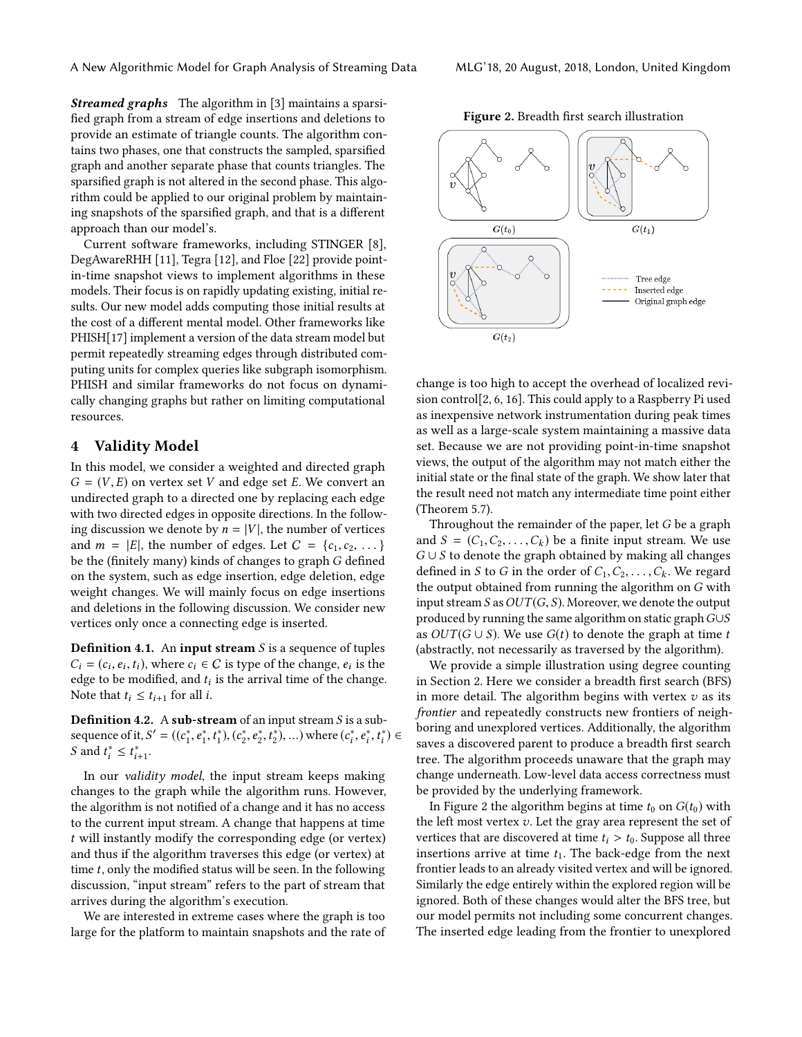**Streamed graphs** The algorithm in [\[3\]](#page-7-17) maintains a sparsified graph from a stream of edge insertions and deletions to provide an estimate of triangle counts. The algorithm contains two phases, one that constructs the sampled, sparsified graph and another separate phase that counts triangles. The sparsified graph is not altered in the second phase. This algorithm could be applied to our original problem by maintaining snapshots of the sparsified graph, and that is a different approach than our model's.

Current software frameworks, including STINGER [\[8\]](#page-7-4), DegAwareRHH [\[11\]](#page-7-11), Tegra [\[12\]](#page-7-12), and Floe [\[22\]](#page-7-18) provide pointin-time snapshot views to implement algorithms in these models. Their focus is on rapidly updating existing, initial results. Our new model adds computing those initial results at the cost of a different mental model. Other frameworks like PHISH[\[17\]](#page-7-19) implement a version of the data stream model but permit repeatedly streaming edges through distributed computing units for complex queries like subgraph isomorphism. PHISH and similar frameworks do not focus on dynamically changing graphs but rather on limiting computational resources.

## <span id="page-2-0"></span>4 Validity Model

In this model, we consider a weighted and directed graph  $G = (V, E)$  on vertex set V and edge set E. We convert an undirected graph to a directed one by replacing each edge with two directed edges in opposite directions. In the following discussion we denote by  $n = |V|$ , the number of vertices and  $m = |E|$ , the number of edges. Let  $C = \{c_1, c_2, \dots\}$ be the (finitely many) kinds of changes to graph G defined on the system, such as edge insertion, edge deletion, edge weight changes. We will mainly focus on edge insertions and deletions in the following discussion. We consider new vertices only once a connecting edge is inserted.

**Definition 4.1.** An input stream  $S$  is a sequence of tuples  $C_i = (c_i, e_i, t_i)$ , where  $c_i \in C$  is type of the change,  $e_i$  is the edge to be modified and t, is the arrival time of the change edge to be modified, and  $t_i$  is the arrival time of the change.<br>Note that  $t \leq t$  for all i Note that  $t_i \leq t_{i+1}$  for all *i*.

**Definition 4.2.** A sub-stream of an input stream  $S$  is a subsequence of it,  $S' = ((c_1^*, e_1^*, t_1^*), (c_2^*, e_2^*, t_2^*), ...)$  where  $(c_i^*, e_i^*, t_i^*) \in S$  and  $t^* \leq t^*$ S and  $t_i^* \leq t_{i+1}^*$ .

In our validity model, the input stream keeps making changes to the graph while the algorithm runs. However, the algorithm is not notified of a change and it has no access to the current input stream. A change that happens at time t will instantly modify the corresponding edge (or vertex) and thus if the algorithm traverses this edge (or vertex) at time  $t$ , only the modified status will be seen. In the following discussion, "input stream" refers to the part of stream that arrives during the algorithm's execution.

We are interested in extreme cases where the graph is too large for the platform to maintain snapshots and the rate of



<span id="page-2-1"></span>Figure 2. Breadth first search illustration



change is too high to accept the overhead of localized revision control[\[2,](#page-7-8) [6,](#page-7-9) [16\]](#page-7-10). This could apply to a Raspberry Pi used as inexpensive network instrumentation during peak times as well as a large-scale system maintaining a massive data set. Because we are not providing point-in-time snapshot views, the output of the algorithm may not match either the initial state or the final state of the graph. We show later that the result need not match any intermediate time point either (Theorem [5.7\)](#page-3-1).

Throughout the remainder of the paper, let G be a graph and  $S = (C_1, C_2, \ldots, C_k)$  be a finite input stream. We use  $G \cup S$  to denote the graph obtained by making all changes defined in S to G in the order of  $C_1, C_2, \ldots, C_k$ . We regard the output obtained from running the algorithm on G with input stream  $S$  as  $OUT(G, S)$ . Moreover, we denote the output produced by running the same algorithm on static graphG∪S as  $OUT(G \cup S)$ . We use  $G(t)$  to denote the graph at time t (abstractly, not necessarily as traversed by the algorithm).

We provide a simple illustration using degree counting in Section [2.](#page-1-1) Here we consider a breadth first search (BFS) in more detail. The algorithm begins with vertex  $v$  as its frontier and repeatedly constructs new frontiers of neighboring and unexplored vertices. Additionally, the algorithm saves a discovered parent to produce a breadth first search tree. The algorithm proceeds unaware that the graph may change underneath. Low-level data access correctness must be provided by the underlying framework.

In Figure [2](#page-2-1) the algorithm begins at time  $t_0$  on  $G(t_0)$  with the left most vertex  $v$ . Let the gray area represent the set of vertices that are discovered at time  $t_i > t_0$ . Suppose all three insertions arrive at time  $t_1$ . The back-edge from the next frontier leads to an already visited vertex and will be ignored. Similarly the edge entirely within the explored region will be ignored. Both of these changes would alter the BFS tree, but our model permits not including some concurrent changes. The inserted edge leading from the frontier to unexplored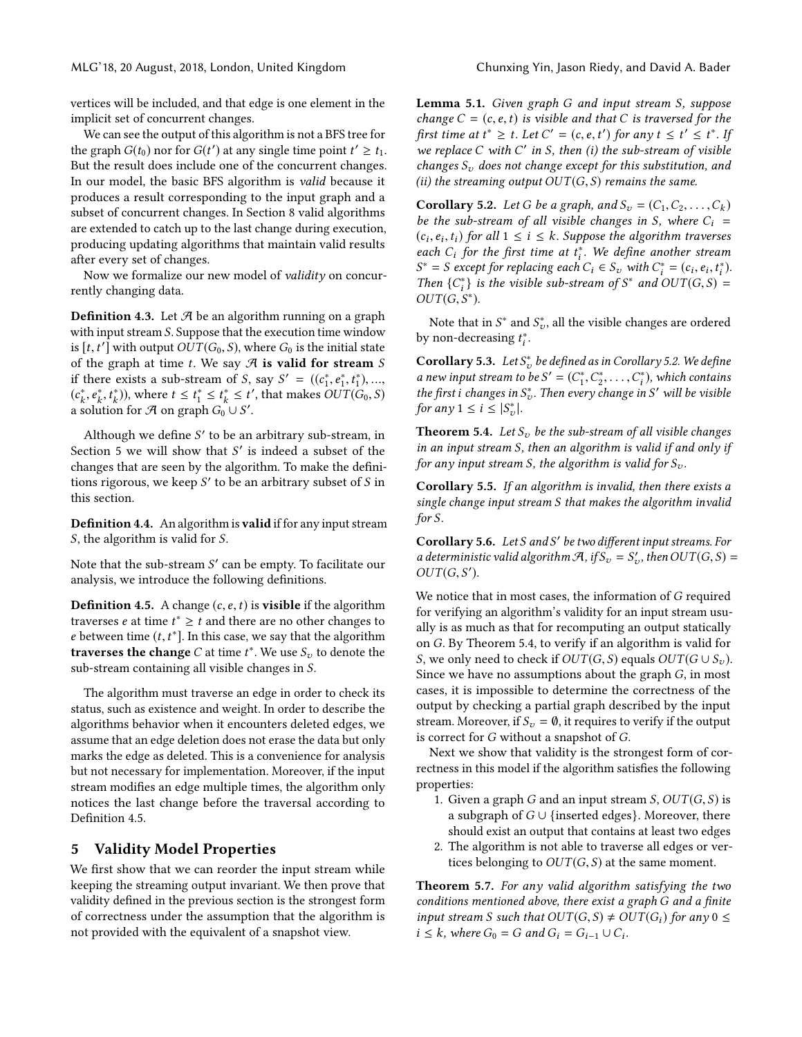MLG'18, 20 August, 2018, London, United Kingdom Chunxing Yin, Jason Riedy, and David A. Bader

vertices will be included, and that edge is one element in the implicit set of concurrent changes.

We can see the output of this algorithm is not a BFS tree for the graph  $G(t_0)$  nor for  $G(t')$  at any single time point  $t' \geq t_1$ . But the result does include one of the concurrent changes. In our model, the basic BFS algorithm is valid because it produces a result corresponding to the input graph and a subset of concurrent changes. In Section [8](#page-5-0) valid algorithms are extended to catch up to the last change during execution, producing updating algorithms that maintain valid results after every set of changes.

Now we formalize our new model of validity on concurrently changing data.

**Definition 4.3.** Let  $\mathcal{A}$  be an algorithm running on a graph with input stream S. Suppose that the execution time window is  $[t, t']$  with output  $OUT(G_0, S)$ , where  $G_0$  is the initial state<br>of the graph at time t. We say  $\mathcal{A}$  is valid for stream S of the graph at time t. We say  $\mathcal A$  is valid for stream S if there exists a sub-stream of S, say  $S' = ((c_1^*, e_1^*, t_1^*), ...,$ <br> $(c_*^*, e_*^*, t^*)$ ), where  $t < t^* < t^* < t'$ , that makes  $OUT(C_*, S)$  $(c_k^*, e_k^*, t_k^*),$  where  $t \le t_1^* \le t_k^* \le t'$ , that makes  $\overline{OUT(G_0, S)}$ <br>a solution for  $\mathcal{A}$  on graph  $G_0 \cup S'$ a solution for A on graph  $G_0^\circ \cup S'.$ 

Although we define  $S'$  to be an arbitrary sub-stream, in Section [5](#page-3-2) we will show that S' is indeed a subset of the changes that are seen by the algorithm. To make the definitions rigorous, we keep  $S'$  to be an arbitrary subset of  $S$  in this section.

Definition 4.4. An algorithm is valid if for any input stream S, the algorithm is valid for S.

Note that the sub-stream  $S'$  can be empty. To facilitate our analysis, we introduce the following definitions.

<span id="page-3-3"></span>**Definition 4.5.** A change  $(c, e, t)$  is **visible** if the algorithm traverses *e* at time  $t^* \geq t$  and there are no other changes to e between time  $(t, t^*]$ . In this case, we say that the algorithm<br>traverses the change C at time  $t^*$ . We use S, to denote the traverses the change C at time  $t^*$ . We use  $S_v$  to denote the sub-stream containing all visible changes in S.

The algorithm must traverse an edge in order to check its status, such as existence and weight. In order to describe the algorithms behavior when it encounters deleted edges, we assume that an edge deletion does not erase the data but only marks the edge as deleted. This is a convenience for analysis but not necessary for implementation. Moreover, if the input stream modifies an edge multiple times, the algorithm only notices the last change before the traversal according to Definition [4.5.](#page-3-3)

### <span id="page-3-2"></span>5 Validity Model Properties

We first show that we can reorder the input stream while keeping the streaming output invariant. We then prove that validity defined in the previous section is the strongest form of correctness under the assumption that the algorithm is not provided with the equivalent of a snapshot view.

Lemma 5.1. Given graph G and input stream S, suppose change  $C = (c, e, t)$  is visible and that C is traversed for the first time at  $t^* \ge t$ . Let  $C' = (c, e, t')$  for any  $t \le t' \le t^*$ . If  $\mathcal{L}$  is the contact  $C$  with  $C'$  in  $S$  then (i) the sub-stream of wisible we replace  $C$  with  $C'$  in  $S$ , then (i) the sub-stream of visible changes  $S_v$  does not change except for this substitution, and (ii) the streaming output  $OUT(G, S)$  remains the same.

<span id="page-3-4"></span>**Corollary 5.2.** Let G be a graph, and  $S_v = (C_1, C_2, \ldots, C_k)$ be the sub-stream of all visible changes in S, where  $C_i$  =  $(c_i, e_i, t_i)$  for all  $1 \leq i \leq k$ . Suppose the algorithm traverses<br>each C, for the first time at  $t^*$ . We define another stream each  $C_i$  for the first time at  $t_i^*$ . We define another stream<br> $S^* = S$  execut for replacing each  $C \subseteq S$ , with  $C^* = (a, a, t^*)$  $S^* = S$  except for replacing each  $C_i \in S_v$  with  $C_i^* = (c_i, e_i, t_i^*)$ .<br>Then  $\{C^*\}$  is the visible sub-stream of  $S^*$  and  $OUT(G, S)$ Then  $\{C_i^*\}$  is the visible sub-stream of  $S^*$  and  $OUT(G, S) =$ <br>OUT(G,  $S^*$ )  $OUT(G, S^*)$ .

Note that in  $S^*$  and  $S^*_{v}$ , all the visible changes are ordered by non-decreasing  $t_i^*$ .

**Corollary 5.3.** Let  $S_v^*$  be defined as in Corollary [5.2.](#page-3-4) We define a new input stream to be  $S' = (C_1^*, C_2^*, \ldots, C_i^*)$ , which contains<br>the first i changes in  $S^*$ . Then every change in  $S'$  will be visible the first i changes in  $S_v^*$ . Then every change in S' will be visible for any  $1 \leq i \leq |S^*_{\nu}|$ .

<span id="page-3-5"></span>**Theorem 5.4.** Let  $S_v$  be the sub-stream of all visible changes in an input stream S, then an algorithm is valid if and only if for any input stream S, the algorithm is valid for  $S_{\nu}$ .

<span id="page-3-0"></span>Corollary 5.5. If an algorithm is invalid, then there exists a single change input stream S that makes the algorithm invalid for S.

Corollary 5.6. Let S and S' be two different input streams. For a deterministic valid algorithm  $\mathcal{A}$ , if  $S_v = S_v'$ , then  $OUT(G, S) =$  $OUT(G, S').$ 

We notice that in most cases, the information of G required for verifying an algorithm's validity for an input stream usually is as much as that for recomputing an output statically on G. By Theorem [5.4,](#page-3-5) to verify if an algorithm is valid for S, we only need to check if  $OUT(G, S)$  equals  $OUT(G \cup S_v)$ . Since we have no assumptions about the graph G, in most cases, it is impossible to determine the correctness of the output by checking a partial graph described by the input stream. Moreover, if  $S_v = \emptyset$ , it requires to verify if the output is correct for G without a snapshot of G.

Next we show that validity is the strongest form of correctness in this model if the algorithm satisfies the following properties:

- 1. Given a graph G and an input stream  $S$ ,  $OUT(G, S)$  is a subgraph of  $G \cup \{inserted edges\}$ . Moreover, there should exist an output that contains at least two edges
- 2. The algorithm is not able to traverse all edges or vertices belonging to  $OUT(G, S)$  at the same moment.

<span id="page-3-1"></span>Theorem 5.7. For any valid algorithm satisfying the two conditions mentioned above, there exist a graph G and a finite input stream S such that  $OUT(G, S) \neq OUT(G_i)$  for any  $0 \leq$  $i \leq k$ , where  $G_0 = G$  and  $G_i = G_{i-1} \cup C_i$ .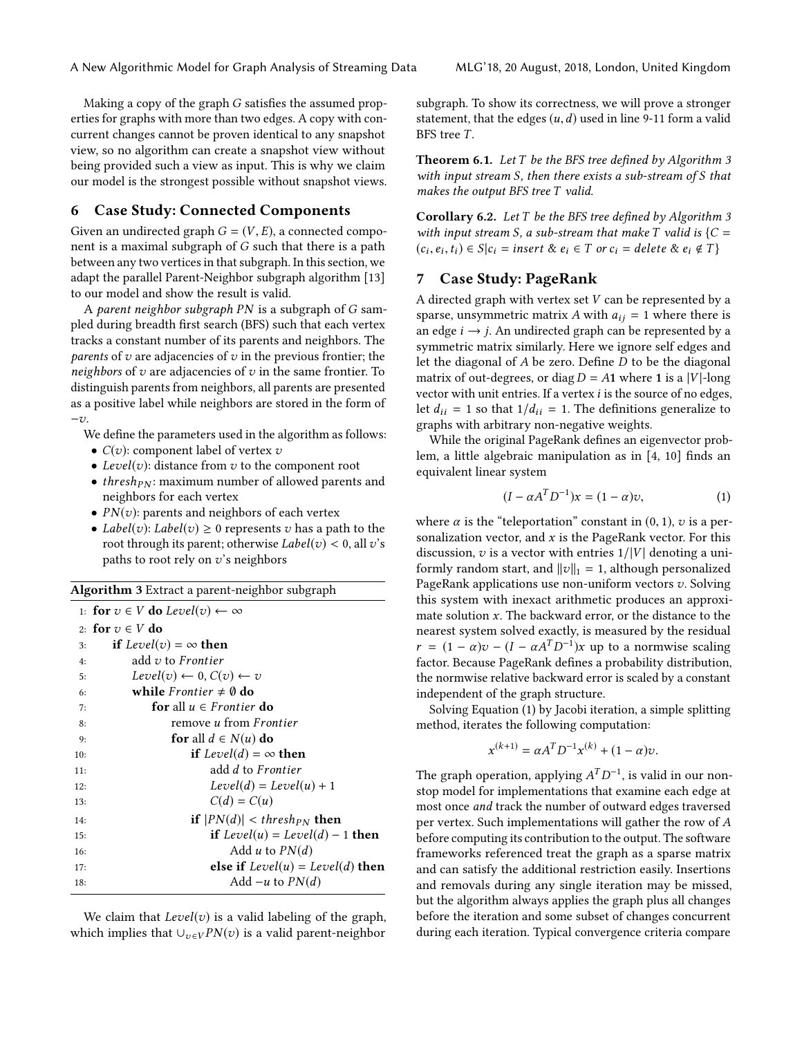Making a copy of the graph G satisfies the assumed properties for graphs with more than two edges. A copy with concurrent changes cannot be proven identical to any snapshot view, so no algorithm can create a snapshot view without being provided such a view as input. This is why we claim our model is the strongest possible without snapshot views.

## <span id="page-4-0"></span>6 Case Study: Connected Components

Given an undirected graph  $G = (V, E)$ , a connected component is a maximal subgraph of G such that there is a path between any two vertices in that subgraph. In this section, we adapt the parallel Parent-Neighbor subgraph algorithm [\[13\]](#page-7-6) to our model and show the result is valid.

A parent neighbor subgraph PN is a subgraph of G sampled during breadth first search (BFS) such that each vertex tracks a constant number of its parents and neighbors. The *parents* of  $v$  are adjacencies of  $v$  in the previous frontier; the neighbors of  $v$  are adjacencies of  $v$  in the same frontier. To distinguish parents from neighbors, all parents are presented as a positive label while neighbors are stored in the form of  $-v.$ 

We define the parameters used in the algorithm as follows:

- $C(v)$ : component label of vertex  $v$
- Level(v): distance from  $v$  to the component root
- thresh $p_N$ : maximum number of allowed parents and neighbors for each vertex
- $PN(v)$ : parents and neighbors of each vertex
- Label(v): Label(v)  $\geq 0$  represents v has a path to the root through its parent; otherwise  $Label(v) < 0$ , all v's paths to root rely on  $v$ 's neighbors

<span id="page-4-2"></span>Algorithm 3 Extract a parent-neighbor subgraph

|     | 1: for $v \in V$ do Level(v) $\leftarrow \infty$ |
|-----|--------------------------------------------------|
|     | 2: for $v \in V$ do                              |
| 3:  | <b>if</b> Level(v) = $\infty$ then               |
| 4:  | add $v$ to Frontier                              |
| 5:  | $Level(v) \leftarrow 0, C(v) \leftarrow v$       |
| 6:  | while <i>Frontier</i> $\neq$ 0 do                |
| 7:  | <b>for</b> all $u \in$ <i>Frontier</i> <b>do</b> |
| 8:  | remove <i>u</i> from <i>Frontier</i>             |
| 9:  | for all $d \in N(u)$ do                          |
| 10: | if $Level(d) = \infty$ then                      |
| 11: | add d to Frontier                                |
| 12: | $Level(d) = Level(u) + 1$                        |
| 13: | $C(d) = C(u)$                                    |
| 14: | <b>if</b> $ PN(d)  < thresh_{PN}$ then           |
| 15: | <b>if</b> Level(u) = Level(d) – 1 <b>then</b>    |
| 16: | Add u to $PN(d)$                                 |
| 17: | <b>else if</b> $Level(u) = Level(d)$ then        |
| 18: | Add $-u$ to $PN(d)$                              |

We claim that  $Level(v)$  is a valid labeling of the graph, which implies that  $\bigcup_{v \in V} PN(v)$  is a valid parent-neighbor

subgraph. To show its correctness, we will prove a stronger statement, that the edges  $(u, d)$  used in line 9-11 form a valid BFS tree T.

**Theorem 6.1.** Let  $T$  be the BFS tree defined by Algorithm [3](#page-4-2) with input stream S, then there exists a sub-stream of S that makes the output BFS tree T valid.

Corollary 6.2. Let T be the BFS tree defined by Algorithm [3](#page-4-2) with input stream S, a sub-stream that make T valid is  ${C} =$  $(c_i, e_i, t_i) \in S | c_i = insert \& e_i \in T \text{ or } c_i = delete \& e_i \notin T \}$ 

#### <span id="page-4-1"></span>7 Case Study: PageRank

A directed graph with vertex set V can be represented by a sparse, unsymmetric matrix A with  $a_{ij} = 1$  where there is an edge  $i \rightarrow j$ . An undirected graph can be represented by a symmetric matrix similarly. Here we ignore self edges and let the diagonal of A be zero. Define D to be the diagonal matrix of out-degrees, or diag  $D = A1$  where 1 is a |V|-long vector with unit entries. If a vertex  $i$  is the source of no edges, let  $d_{ii} = 1$  so that  $1/d_{ii} = 1$ . The definitions generalize to graphs with arbitrary non-negative weights.

While the original PageRank defines an eigenvector problem, a little algebraic manipulation as in [\[4,](#page-7-20) [10\]](#page-7-21) finds an equivalent linear system

<span id="page-4-3"></span>
$$
(I - \alpha A^T D^{-1})x = (1 - \alpha)v,
$$
\n(1)

where  $\alpha$  is the "teleportation" constant in (0, 1), v is a personalization vector, and  $x$  is the PageRank vector. For this discussion,  $v$  is a vector with entries  $1/|V|$  denoting a uniformly random start, and  $||v||_1 = 1$ , although personalized PageRank applications use non-uniform vectors  $v$ . Solving this system with inexact arithmetic produces an approximate solution  $x$ . The backward error, or the distance to the nearest system solved exactly, is measured by the residual  $r = (1 - \alpha)v - (I - \alpha A^{T}D^{-1})x$  up to a normwise scaling factor. Because PageRank defines a probability distribution, the normwise relative backward error is scaled by a constant independent of the graph structure.

Solving Equation [\(1\)](#page-4-3) by Jacobi iteration, a simple splitting method, iterates the following computation:

$$
x^{(k+1)} = \alpha A^T D^{-1} x^{(k)} + (1 - \alpha) v.
$$

The graph operation, applying  $A^T D^{-1}$ , is valid in our nonstop model for implementations that examine each edge at most once and track the number of outward edges traversed per vertex. Such implementations will gather the row of A before computing its contribution to the output. The software frameworks referenced treat the graph as a sparse matrix and can satisfy the additional restriction easily. Insertions and removals during any single iteration may be missed, but the algorithm always applies the graph plus all changes before the iteration and some subset of changes concurrent during each iteration. Typical convergence criteria compare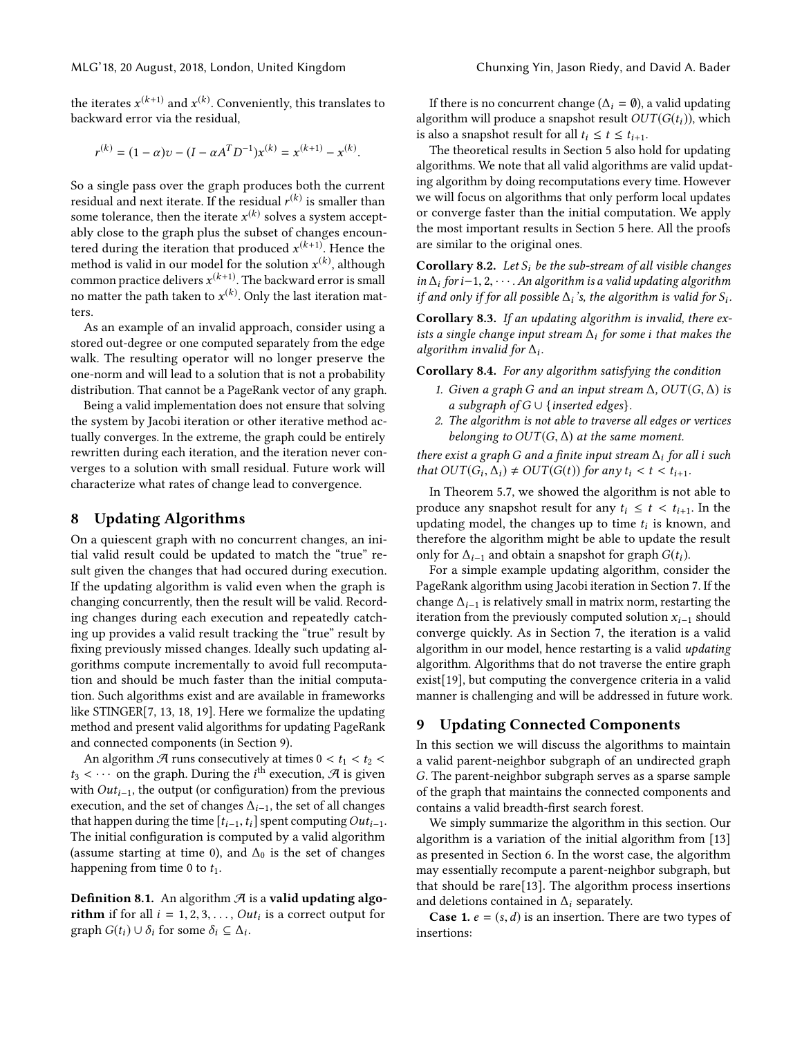the iterates  $x^{(k+1)}$  and  $x^{(k)}$ . Conveniently, this translates to backward error via the residual,

$$
r^{(k)} = (1 - \alpha)v - (I - \alpha A^T D^{-1})x^{(k)} = x^{(k+1)} - x^{(k)}
$$

So a single pass over the graph produces both the current residual and next iterate. If the residual  $r^{(k)}$  is smaller than some tolerance, then the iterate  $x^{(k)}$  solves a system acceptably close to the graph plus the subset of changes encountered during the iteration that produced  $x^{(k+1)}$ . Hence the method is valid in our model for the solution  $x^{(k)}$ , although common practice delivers  $x^{(k+1)}$ . The backward error is small no matter the path taken to  $x^{(k)}.$  Only the last iteration matters.

As an example of an invalid approach, consider using a stored out-degree or one computed separately from the edge walk. The resulting operator will no longer preserve the one-norm and will lead to a solution that is not a probability distribution. That cannot be a PageRank vector of any graph.

Being a valid implementation does not ensure that solving the system by Jacobi iteration or other iterative method actually converges. In the extreme, the graph could be entirely rewritten during each iteration, and the iteration never converges to a solution with small residual. Future work will characterize what rates of change lead to convergence.

#### <span id="page-5-0"></span>8 Updating Algorithms

On a quiescent graph with no concurrent changes, an initial valid result could be updated to match the "true" result given the changes that had occured during execution. If the updating algorithm is valid even when the graph is changing concurrently, then the result will be valid. Recording changes during each execution and repeatedly catching up provides a valid result tracking the "true" result by fixing previously missed changes. Ideally such updating algorithms compute incrementally to avoid full recomputation and should be much faster than the initial computation. Such algorithms exist and are available in frameworks like STINGER[\[7,](#page-7-5) [13,](#page-7-6) [18,](#page-7-22) [19\]](#page-7-23). Here we formalize the updating method and present valid algorithms for updating PageRank and connected components (in Section [9\)](#page-5-1).

An algorithm  $\mathcal A$  runs consecutively at times  $0 < t_1 < t_2 <$  $t_3 < \cdots$  on the graph. During the *i*<sup>th</sup> execution,  $\mathcal{A}$  is given with  $Out_{i \to i}$  the output (or configuration) from the previous with  $Out<sub>i-1</sub>$ , the output (or configuration) from the previous execution, and the set of changes  $\Delta_{i-1}$ , the set of all changes that happen during the time  $[t_{i-1}, t_i]$  spent computing  $Out_{i-1}$ . The initial configuration is computed by a valid algorithm (assume starting at time 0), and  $\Delta_0$  is the set of changes happening from time 0 to  $t_1$ .

**Definition 8.1.** An algorithm  $\mathcal{A}$  is a valid updating algo**rithm** if for all  $i = 1, 2, 3, \dots$ ,  $Out_i$  is a correct output for graph  $G(t) \cup \delta$ , for some  $\delta$ ,  $\subset \Delta$ . graph  $G(t_i) \cup \delta_i$  for some  $\delta_i \subseteq \Delta_i$ .

If there is no concurrent change ( $\Delta_i = \emptyset$ ), a valid updating algorithm will produce a snapshot result  $OUT(G(t_i))$ , which is also a snapshot result for all  $t_i \leq t \leq t_{i+1}$ .

The theoretical results in Section [5](#page-3-2) also hold for updating algorithms. We note that all valid algorithms are valid updating algorithm by doing recomputations every time. However we will focus on algorithms that only perform local updates or converge faster than the initial computation. We apply the most important results in Section [5](#page-3-2) here. All the proofs are similar to the original ones.

**Corollary 8.2.** Let  $S_i$  be the sub-stream of all visible changes in  $\Delta_i$  for i-1, 2,  $\cdots$ . An algorithm is a valid updating algorithm if and only if for all possible  $\Delta_i$ 's, the algorithm is valid for  $S_i$ .

Corollary 8.3. If an updating algorithm is invalid, there exists a single change input stream  $\Delta_i$  for some i that makes the algorithm invalid for  $\Delta_i$ .

Corollary 8.4. For any algorithm satisfying the condition

- 1. Given a graph G and an input stream  $\Delta$ ,  $OUT(G, \Delta)$  is a subgraph of  $G \cup \{inserted edges\}.$
- 2. The algorithm is not able to traverse all edges or vertices belonging to  $OUT(G, \Delta)$  at the same moment.

there exist a graph G and a finite input stream  $\Delta_i$  for all i such that  $OUT(G_i, \Delta_i) \neq OUT(G(t))$  for any  $t_i < t < t_{i+1}$ .

In Theorem [5.7,](#page-3-1) we showed the algorithm is not able to produce any snapshot result for any  $t_i \leq t \leq t_{i+1}$ . In the updating model, the changes up to time  $t_i$  is known, and therefore the electric might be oble to update the result therefore the algorithm might be able to update the result only for  $\Delta_{i-1}$  and obtain a snapshot for graph  $G(t_i)$ .

For a simple example updating algorithm, consider the PageRank algorithm using Jacobi iteration in Section [7.](#page-4-1) If the change  $\Delta_{i-1}$  is relatively small in matrix norm, restarting the iteration from the previously computed solution  $x_{i-1}$  should converge quickly. As in Section [7,](#page-4-1) the iteration is a valid algorithm in our model, hence restarting is a valid updating algorithm. Algorithms that do not traverse the entire graph exist[\[19\]](#page-7-23), but computing the convergence criteria in a valid manner is challenging and will be addressed in future work.

#### <span id="page-5-1"></span>9 Updating Connected Components

In this section we will discuss the algorithms to maintain a valid parent-neighbor subgraph of an undirected graph G. The parent-neighbor subgraph serves as a sparse sample of the graph that maintains the connected components and contains a valid breadth-first search forest.

We simply summarize the algorithm in this section. Our algorithm is a variation of the initial algorithm from [\[13\]](#page-7-6) as presented in Section [6.](#page-4-0) In the worst case, the algorithm may essentially recompute a parent-neighbor subgraph, but that should be rare[\[13\]](#page-7-6). The algorithm process insertions and deletions contained in  $\Delta_i$  separately.

**Case 1.**  $e = (s, d)$  is an insertion. There are two types of insertions: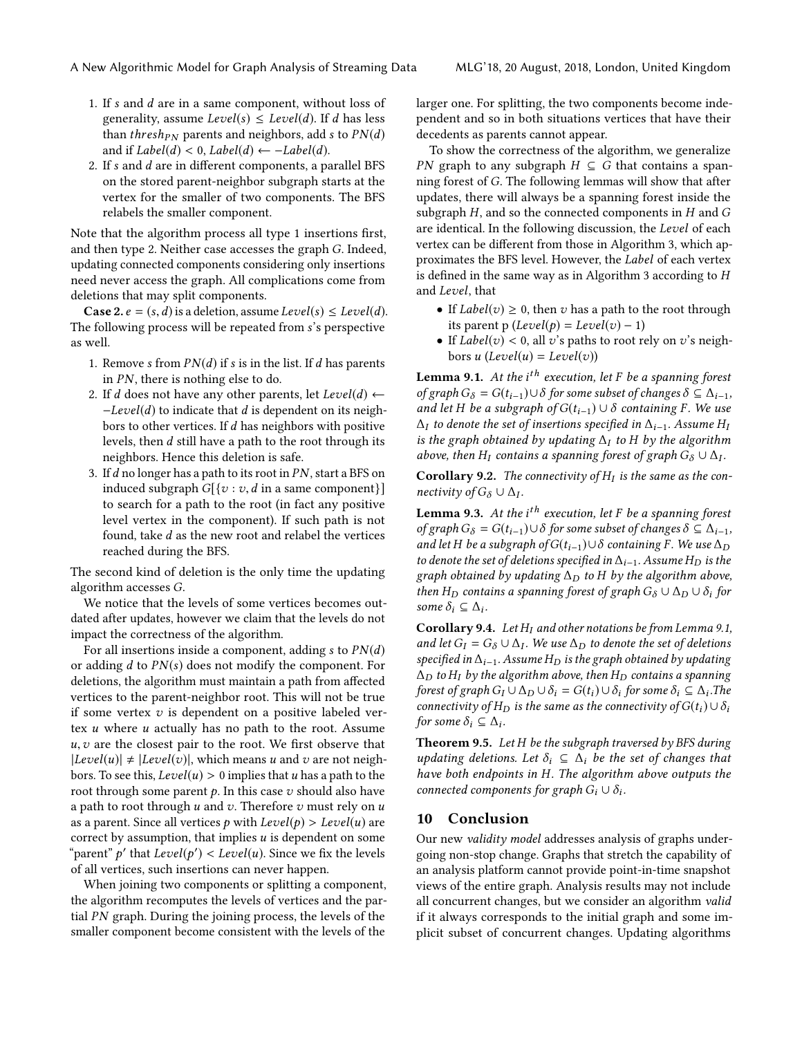- 1. If s and d are in a same component, without loss of generality, assume  $Level(s) \le Level(d)$ . If d has less than *thresh<sub>PN</sub>* parents and neighbors, add s to  $PN(d)$ and if  $Label(d) < 0$ ,  $Label(d) \leftarrow -Label(d)$ .
- 2. If  $s$  and  $d$  are in different components, a parallel BFS on the stored parent-neighbor subgraph starts at the vertex for the smaller of two components. The BFS relabels the smaller component.

Note that the algorithm process all type 1 insertions first, and then type 2. Neither case accesses the graph G. Indeed, updating connected components considering only insertions need never access the graph. All complications come from deletions that may split components.

**Case 2.**  $e = (s, d)$  is a deletion, assume Level(s)  $\leq Level(d)$ . The following process will be repeated from s's perspective as well.

- 1. Remove s from  $PN(d)$  if s is in the list. If d has parents in PN, there is nothing else to do.
- 2. If d does not have any other parents, let  $Level(d) \leftarrow$ −Level(d) to indicate that d is dependent on its neighbors to other vertices. If d has neighbors with positive levels, then d still have a path to the root through its neighbors. Hence this deletion is safe.
- 3. If  $d$  no longer has a path to its root in  $PN$ , start a BFS on induced subgraph  $G[{v : v, d$ in a same component}]$ to search for a path to the root (in fact any positive level vertex in the component). If such path is not found, take d as the new root and relabel the vertices reached during the BFS.

The second kind of deletion is the only time the updating algorithm accesses G.

We notice that the levels of some vertices becomes outdated after updates, however we claim that the levels do not impact the correctness of the algorithm.

For all insertions inside a component, adding  $s$  to  $PN(d)$ or adding  $d$  to  $PN(s)$  does not modify the component. For deletions, the algorithm must maintain a path from affected vertices to the parent-neighbor root. This will not be true if some vertex  $v$  is dependent on a positive labeled vertex  $u$  where  $u$  actually has no path to the root. Assume  $u, v$  are the closest pair to the root. We first observe that  $|Level(u)| \neq |Level(v)|$ , which means u and v are not neighbors. To see this,  $Level(u) > 0$  implies that u has a path to the root through some parent  $p$ . In this case  $v$  should also have a path to root through  $u$  and  $v$ . Therefore  $v$  must rely on  $u$ as a parent. Since all vertices p with  $Level(p) > Level(u)$  are correct by assumption, that implies  $u$  is dependent on some "parent"  $p'$  that  $Level(p') < Level(u)$ . Since we fix the levels<br>of all vertices, such insertions can never hannen of all vertices, such insertions can never happen.

When joining two components or splitting a component, the algorithm recomputes the levels of vertices and the partial PN graph. During the joining process, the levels of the smaller component become consistent with the levels of the

larger one. For splitting, the two components become independent and so in both situations vertices that have their decedents as parents cannot appear.

To show the correctness of the algorithm, we generalize PN graph to any subgraph  $H \subseteq G$  that contains a spanning forest of G. The following lemmas will show that after updates, there will always be a spanning forest inside the subgraph  $H$ , and so the connected components in  $H$  and  $G$ are identical. In the following discussion, the Level of each vertex can be different from those in Algorithm [3,](#page-4-2) which approximates the BFS level. However, the Label of each vertex is defined in the same way as in Algorithm [3](#page-4-2) according to H and Level, that

- If  $Label(v) \geq 0$ , then v has a path to the root through its parent p ( $Level(p) = Level(v) - 1$ )
- If  $Label(v) < 0$ , all v's paths to root rely on v's neighbors u (Level(u) = Level(v))

<span id="page-6-0"></span>**Lemma 9.1.** At the i<sup>th</sup> execution, let F be a spanning forest of graph  $G_{\delta} = G(t_{i-1}) \cup \delta$  for some subset of changes  $\delta \subseteq \Delta_{i-1}$ , and let H be a subgraph of  $G(t_{i-1}) \cup \delta$  containing F. We use  $\Delta_I$  to denote the set of insertions specified in  $\Delta_{i-1}$ . Assume H<sub>I</sub> is the graph obtained by updating  $\Delta_I$  to H by the algorithm above, then H<sub>I</sub> contains a spanning forest of graph  $G_{\delta} \cup \Delta_I$ .

**Corollary 9.2.** The connectivity of  $H_I$  is the same as the con-<br>**restivity of C**  $\cup$  A nectivity of  $G_{\delta} \cup \Delta_{I}$ .

**Lemma 9.3.** At the  $i^{th}$  execution, let F be a spanning forest of graph  $G_{\delta} = G(t_{i-1}) \cup \delta$  for some subset of changes  $\delta \subseteq \Delta_{i-1}$ , and let H be a subgraph of  $G(t_{i-1})\cup \delta$  containing F. We use  $\Delta_D$ to denote the set of deletions specified in  $\Delta_{i-1}$ . Assume H<sub>D</sub> is the graph obtained by updating  $\Delta_D$  to H by the algorithm above, then H<sub>D</sub> contains a spanning forest of graph  $G_{\delta} \cup \Delta_D \cup \delta_i$  for some  $\delta_i \subseteq \Delta_i$ .

**Corollary 9.4.** Let  $H_I$  and other notations be from Lemma [9.1,](#page-6-0) and let  $G_I = G_\delta \cup \Delta_I$ . We use  $\Delta_D$  to denote the set of deletions specified in  $\Delta_L$ , assume  $H_D$  is the graph obtained by undating specified in  $\Delta_{i-1}$ . Assume H<sub>D</sub> is the graph obtained by updating  $\Delta_D$  to H<sub>I</sub> by the algorithm above, then H<sub>D</sub> contains a spanning forest of graph  $G_I \cup \Delta_D \cup \delta_i = G(t_i) \cup \delta_i$  for some  $\delta_i \subseteq \Delta_i$ . The connectivity of  $G(t_1) \cup \delta_i$ connectivity of  $H_D$  is the same as the connectivity of  $G(t_i) \cup \delta_i$ for some  $\delta_i \subseteq \Delta_i$ .

**Theorem 9.5.** Let  $H$  be the subgraph traversed by BFS during updating deletions. Let  $\delta_i \subseteq \Delta_i$  be the set of changes that have both endpoints in H. The algorithm above outputs the connected components for graph  $G_i \cup \delta_i$ .

#### 10 Conclusion

Our new validity model addresses analysis of graphs undergoing non-stop change. Graphs that stretch the capability of an analysis platform cannot provide point-in-time snapshot views of the entire graph. Analysis results may not include all concurrent changes, but we consider an algorithm valid if it always corresponds to the initial graph and some implicit subset of concurrent changes. Updating algorithms